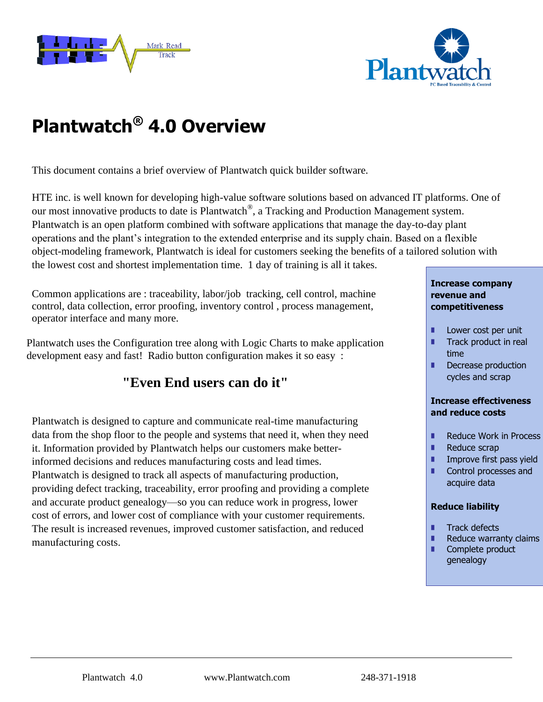



# **Plantwatch® 4.0 Overview**

This document contains a brief overview of Plantwatch quick builder software.

HTE inc. is well known for developing high-value software solutions based on advanced IT platforms. One of our most innovative products to date is Plantwatch<sup>®</sup>, a Tracking and Production Management system. Plantwatch is an open platform combined with software applications that manage the day-to-day plant operations and the plant's integration to the extended enterprise and its supply chain. Based on a flexible object-modeling framework, Plantwatch is ideal for customers seeking the benefits of a tailored solution with the lowest cost and shortest implementation time. 1 day of training is all it takes.

Common applications are : traceability, labor/job tracking, cell control, machine control, data collection, error proofing, inventory control , process management, operator interface and many more.

Plantwatch uses the Configuration tree along with Logic Charts to make application development easy and fast! Radio button configuration makes it so easy :

# **"Even End users can do it"**

Plantwatch is designed to capture and communicate real-time manufacturing data from the shop floor to the people and systems that need it, when they need it. Information provided by Plantwatch helps our customers make betterinformed decisions and reduces manufacturing costs and lead times. Plantwatch is designed to track all aspects of manufacturing production, providing defect tracking, traceability, error proofing and providing a complete and accurate product genealogy—so you can reduce work in progress, lower cost of errors, and lower cost of compliance with your customer requirements. The result is increased revenues, improved customer satisfaction, and reduced manufacturing costs.

#### **Increase company revenue and competitiveness**

- **Lower cost per unit**
- **Track product in real** time
- Decrease production cycles and scrap

#### **Increase effectiveness and reduce costs**

- Reduce Work in Process
- Reduce scrap
- **I** Improve first pass yield
- **Control processes and** acquire data

### **Reduce liability**

- **Track defects**
- $\blacksquare$  Reduce warranty claims
- Complete product genealogy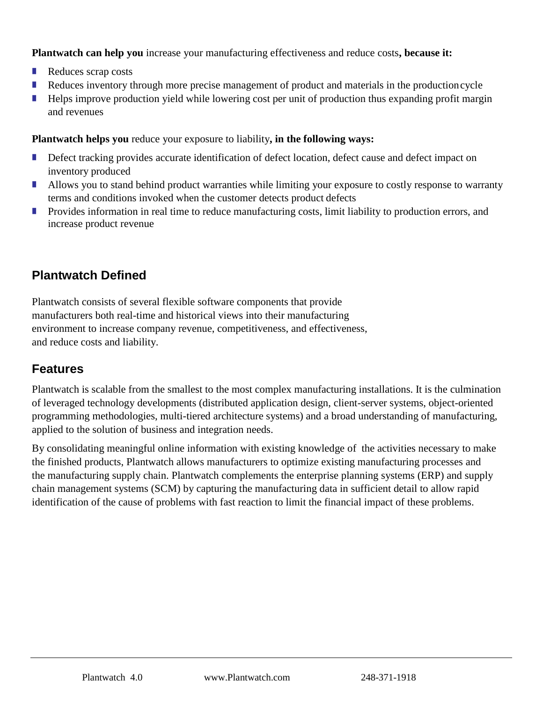**Plantwatch can help you** increase your manufacturing effectiveness and reduce costs**, because it:**

- Reduces scrap costs
- Reduces inventory through more precise management of product and materials in the production cycle
- Helps improve production yield while lowering cost per unit of production thus expanding profit margin and revenues

**Plantwatch helps you** reduce your exposure to liability**, in the following ways:**

- Defect tracking provides accurate identification of defect location, defect cause and defect impact on inventory produced
- Allows you to stand behind product warranties while limiting your exposure to costly response to warranty terms and conditions invoked when the customer detects product defects
- **Provides information in real time to reduce manufacturing costs, limit liability to production errors, and** increase product revenue

# **Plantwatch Defined**

Plantwatch consists of several flexible software components that provide manufacturers both real-time and historical views into their manufacturing environment to increase company revenue, competitiveness, and effectiveness, and reduce costs and liability.

# **Features**

Plantwatch is scalable from the smallest to the most complex manufacturing installations. It is the culmination of leveraged technology developments (distributed application design, client-server systems, object-oriented programming methodologies, multi-tiered architecture systems) and a broad understanding of manufacturing, applied to the solution of business and integration needs.

By consolidating meaningful online information with existing knowledge of the activities necessary to make the finished products, Plantwatch allows manufacturers to optimize existing manufacturing processes and the manufacturing supply chain. Plantwatch complements the enterprise planning systems (ERP) and supply chain management systems (SCM) by capturing the manufacturing data in sufficient detail to allow rapid identification of the cause of problems with fast reaction to limit the financial impact of these problems.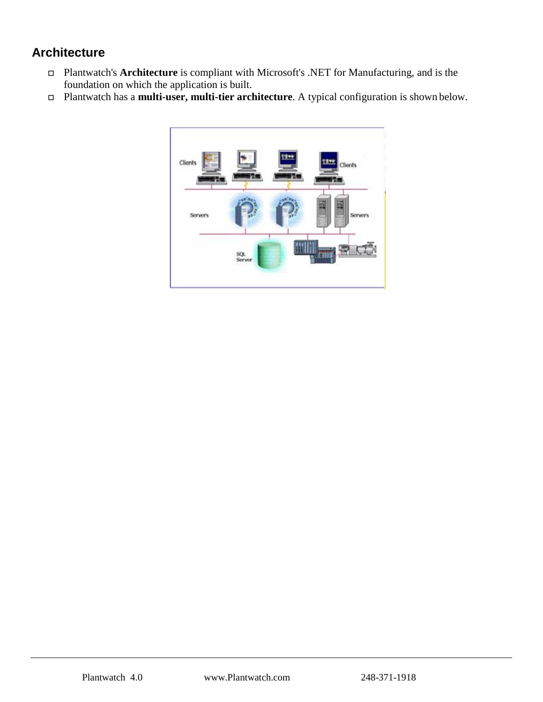# **Architecture**

- Plantwatch's **Architecture** is compliant with Microsoft's .NET for Manufacturing, and is the foundation on which the application is built.
- Plantwatch has a **multi-user, multi-tier architecture**. A typical configuration is shown below.

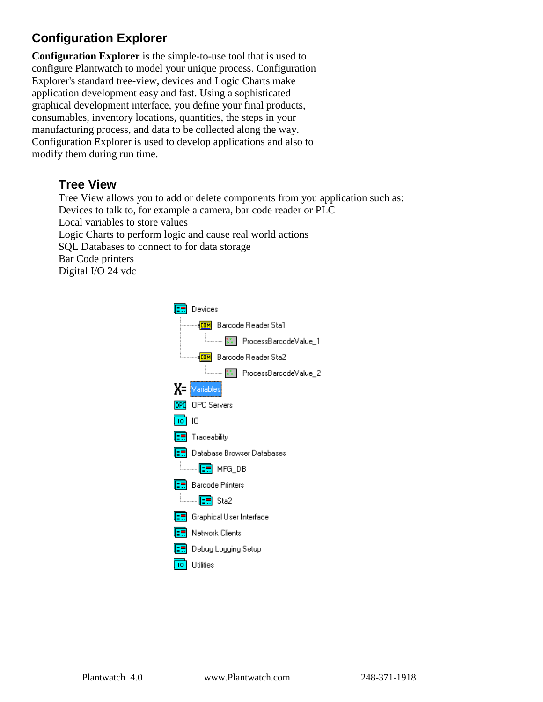# **Configuration Explorer**

**Configuration Explorer** is the simple-to-use tool that is used to configure Plantwatch to model your unique process. Configuration Explorer's standard tree-view, devices and Logic Charts make application development easy and fast. Using a sophisticated graphical development interface, you define your final products, consumables, inventory locations, quantities, the steps in your manufacturing process, and data to be collected along the way. Configuration Explorer is used to develop applications and also to modify them during run time.

## **Tree View**

Tree View allows you to add or delete components from you application such as: Devices to talk to, for example a camera, bar code reader or PLC Local variables to store values Logic Charts to perform logic and cause real world actions SQL Databases to connect to for data storage Bar Code printers Digital I/O 24 vdc

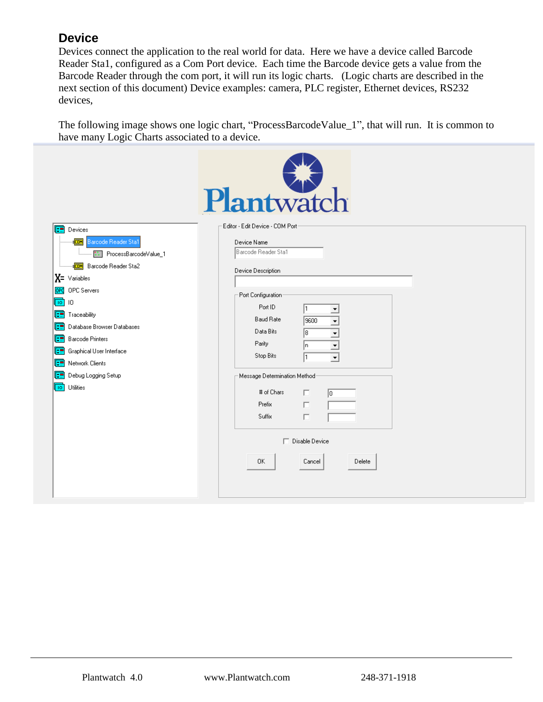# **Device**

Devices connect the application to the real world for data. Here we have a device called Barcode Reader Sta1, configured as a Com Port device. Each time the Barcode device gets a value from the Barcode Reader through the com port, it will run its logic charts. (Logic charts are described in the next section of this document) Device examples: camera, PLC register, Ethernet devices, RS232 devices,

The following image shows one logic chart, "ProcessBarcodeValue\_1", that will run. It is common to have many Logic Charts associated to a device.

|                                                                                                                                                                                                                                                                                                                                                                                                                         | Plantwatch                                                                                                                                                                                                                                                                                                                                                                               |
|-------------------------------------------------------------------------------------------------------------------------------------------------------------------------------------------------------------------------------------------------------------------------------------------------------------------------------------------------------------------------------------------------------------------------|------------------------------------------------------------------------------------------------------------------------------------------------------------------------------------------------------------------------------------------------------------------------------------------------------------------------------------------------------------------------------------------|
| Œ<br>Devices<br>Barcode Reader Sta1<br>ŧcom<br><b>SEP</b> ProcessBarcodeValue_1<br>Barcode Reader Sta2<br><b>EDM</b><br>$X = \vee$ ariables<br>OPC Servers<br>OPC<br>$\sqrt{10}$<br>$\mathsf{I}0$<br>Œ<br>Traceability<br>Database Browser Databases<br>Œ<br><b>Barcode Printers</b><br>Œ<br>Graphical User Interface<br>Œ<br>Network Clients<br>Œ<br>Debug Logging Setup<br>Œ<br>Utilities<br>$\overline{\mathsf{10}}$ | Editor - Edit Device - COM Port-<br>Device Name<br>Barcode Reader Sta1<br>Device Description<br>Port Configuration<br>Port ID<br><b>Baud Rate</b><br>9600<br>$\overline{\phantom{0}}$<br>Data Bits<br>ि<br>Parity<br>In.<br>▼<br>Stop Bits<br>I1<br>$\overline{\phantom{a}}$<br>Message Determination Method <sup>.</sup><br># of Chars<br>п<br>$\sqrt{0}$<br>Prefix<br>П<br>Suffix<br>П |
|                                                                                                                                                                                                                                                                                                                                                                                                                         | Disable Device<br>0K<br>Cancel<br>Delete                                                                                                                                                                                                                                                                                                                                                 |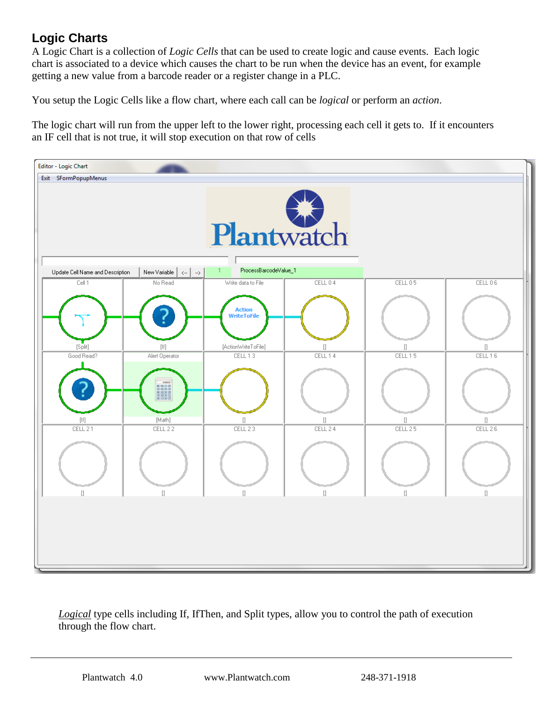# **Logic Charts**

A Logic Chart is a collection of *Logic Cells* that can be used to create logic and cause events. Each logic chart is associated to a device which causes the chart to be run when the device has an event, for example getting a new value from a barcode reader or a register change in a PLC.

You setup the Logic Cells like a flow chart, where each call can be *logical* or perform an *action*.

The logic chart will run from the upper left to the lower right, processing each cell it gets to. If it encounters an IF cell that is not true, it will stop execution on that row of cells



*Logical* type cells including If, IfThen, and Split types, allow you to control the path of execution through the flow chart.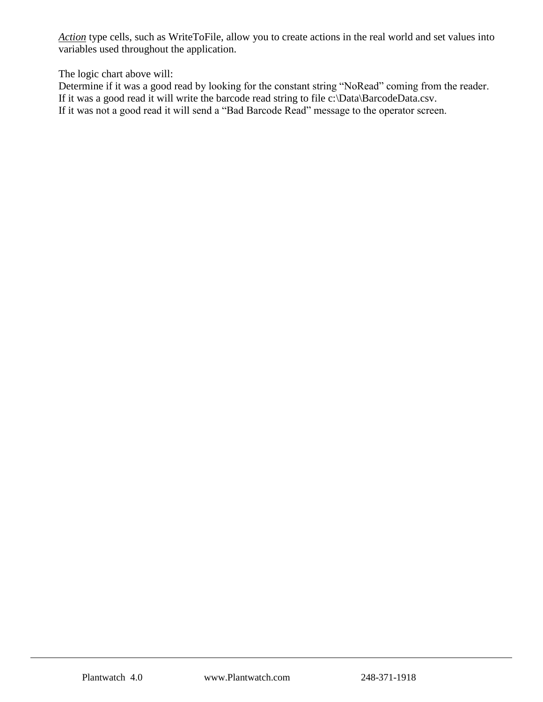*Action* type cells, such as WriteToFile, allow you to create actions in the real world and set values into variables used throughout the application.

The logic chart above will:

Determine if it was a good read by looking for the constant string "NoRead" coming from the reader. If it was a good read it will write the barcode read string to file c:\Data\BarcodeData.csv. If it was not a good read it will send a "Bad Barcode Read" message to the operator screen.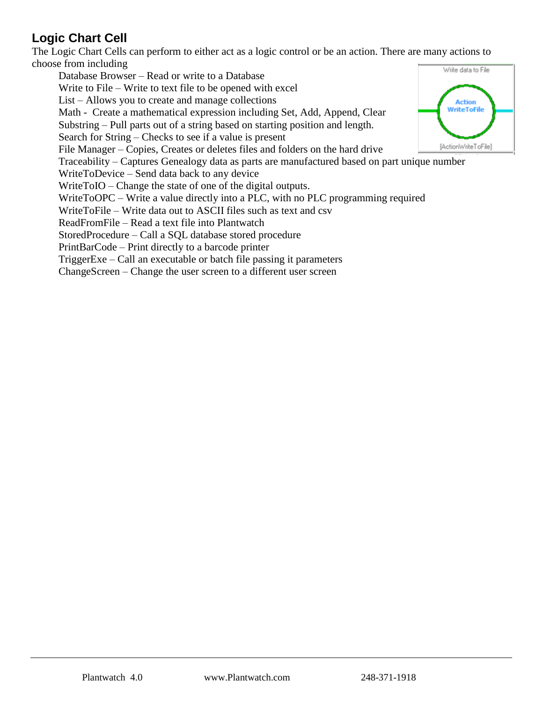# **Logic Chart Cell**

The Logic Chart Cells can perform to either act as a logic control or be an action. There are many actions to choose from including

Database Browser – Read or write to a Database Write to File – Write to text file to be opened with excel List – Allows you to create and manage collections Math - Create a mathematical expression including Set, Add, Append, Clear Substring – Pull parts out of a string based on starting position and length. Search for String – Checks to see if a value is present File Manager – Copies, Creates or deletes files and folders on the hard drive Traceability – Captures Genealogy data as parts are manufactured based on part unique number WriteToDevice – Send data back to any device WriteToIO – Change the state of one of the digital outputs. WriteToOPC – Write a value directly into a PLC, with no PLC programming required WriteToFile – Write data out to ASCII files such as text and csv ReadFromFile – Read a text file into Plantwatch StoredProcedure – Call a SQL database stored procedure PrintBarCode – Print directly to a barcode printer TriggerExe – Call an executable or batch file passing it parameters ChangeScreen – Change the user screen to a different user screen

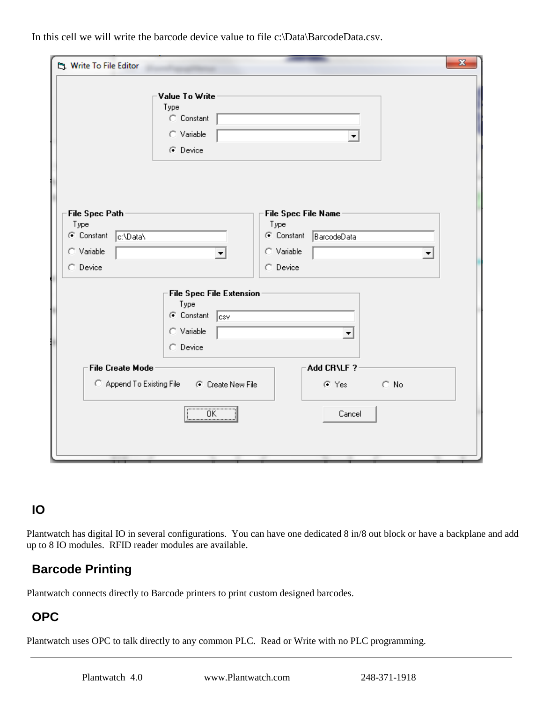In this cell we will write the barcode device value to file c:\Data\BarcodeData.csv.

| $\mathbf{x}$<br><b>La Write To File Editor</b>                                                                    |                                                                |                                                                        |   |  |
|-------------------------------------------------------------------------------------------------------------------|----------------------------------------------------------------|------------------------------------------------------------------------|---|--|
|                                                                                                                   | Value To Write<br>Type<br>C Constant<br>C Variable<br>C Device |                                                                        |   |  |
| File Spec Path<br>Type<br>C Constant<br>c:\Data\<br>C Variable                                                    |                                                                | File Spec File Name<br>Type<br>C Constant<br>BarcodeData<br>C Variable | ▼ |  |
| C Device<br>C Device<br><b>File Spec File Extension</b>                                                           |                                                                |                                                                        |   |  |
|                                                                                                                   | Type<br>C Constant<br> csv<br>C Variable<br>C Device           | ▼                                                                      |   |  |
| Add CR\LF?<br><b>File Create Mode</b><br>C Append To Existing File<br>$\subset N_0$<br>C Create New File<br>⊙ Yes |                                                                |                                                                        |   |  |
| OK                                                                                                                |                                                                | Cancel                                                                 |   |  |
|                                                                                                                   |                                                                |                                                                        |   |  |

## **IO**

Plantwatch has digital IO in several configurations. You can have one dedicated 8 in/8 out block or have a backplane and add up to 8 IO modules. RFID reader modules are available.

# **Barcode Printing**

Plantwatch connects directly to Barcode printers to print custom designed barcodes.

# **OPC**

Plantwatch uses OPC to talk directly to any common PLC. Read or Write with no PLC programming.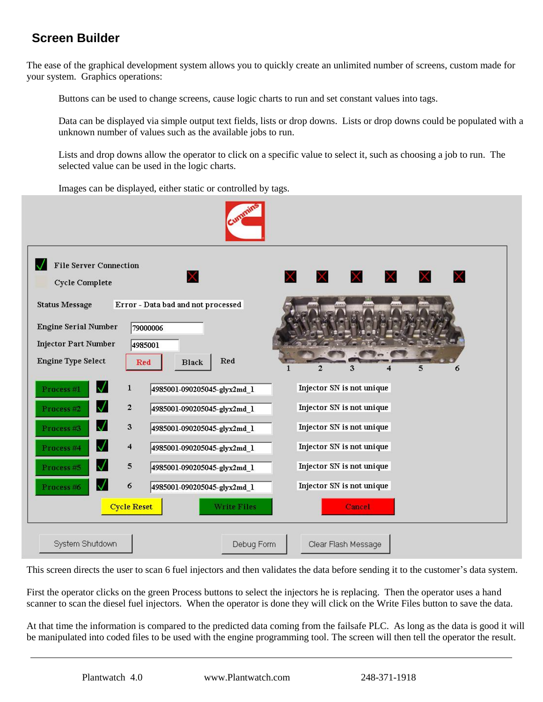# **Screen Builder**

The ease of the graphical development system allows you to quickly create an unlimited number of screens, custom made for your system. Graphics operations:

Buttons can be used to change screens, cause logic charts to run and set constant values into tags.

Data can be displayed via simple output text fields, lists or drop downs. Lists or drop downs could be populated with a unknown number of values such as the available jobs to run.

Lists and drop downs allow the operator to click on a specific value to select it, such as choosing a job to run. The selected value can be used in the logic charts.

Images can be displayed, either static or controlled by tags.



This screen directs the user to scan 6 fuel injectors and then validates the data before sending it to the customer's data system.

First the operator clicks on the green Process buttons to select the injectors he is replacing. Then the operator uses a hand scanner to scan the diesel fuel injectors. When the operator is done they will click on the Write Files button to save the data.

At that time the information is compared to the predicted data coming from the failsafe PLC. As long as the data is good it will be manipulated into coded files to be used with the engine programming tool. The screen will then tell the operator the result.